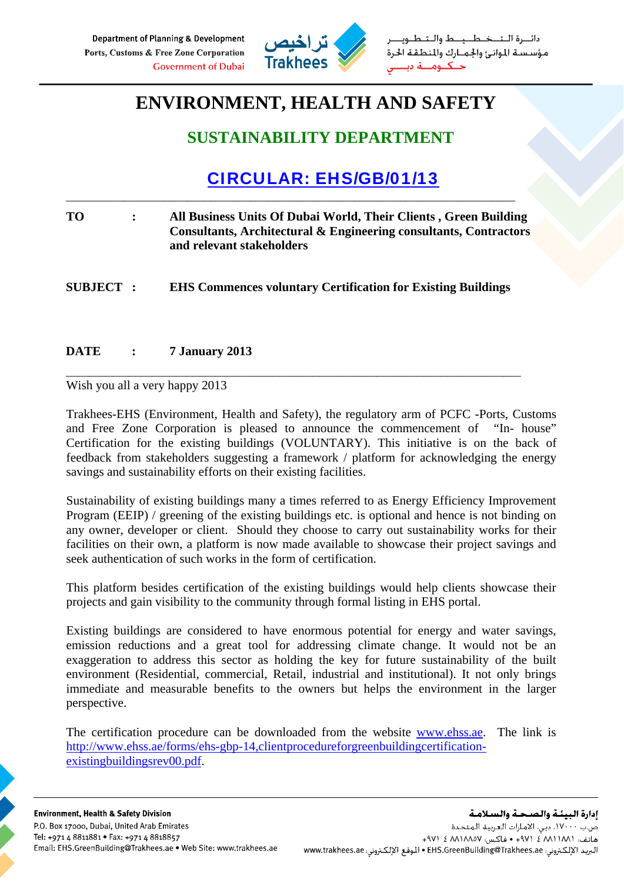

طــيــط والــتـ مؤسسة الموانئ والجمارك والمنطقة الحرة

## **ENVIRONMENT, HEALTH AND SAFETY**

### **SUSTAINABILITY DEPARTMENT**

## CIRCULAR: EHS/GB/01/13

| TO.              | All Business Units Of Dubai World, Their Clients, Green Building<br>Consultants, Architectural & Engineering consultants, Contractors<br>and relevant stakeholders |
|------------------|--------------------------------------------------------------------------------------------------------------------------------------------------------------------|
| <b>SUBJECT :</b> | <b>EHS Commences voluntary Certification for Existing Buildings</b>                                                                                                |

\_\_\_\_\_\_\_\_\_\_\_\_\_\_\_\_\_\_\_\_\_\_\_\_\_\_\_\_\_\_\_\_\_\_\_\_\_\_\_\_\_\_\_\_\_\_\_\_\_\_\_\_\_\_\_\_\_\_\_\_\_\_\_\_\_\_\_\_\_\_\_\_\_\_\_\_\_\_\_

\_\_\_\_\_\_\_\_\_\_\_\_\_\_\_\_\_\_\_\_\_\_\_\_\_\_\_\_\_\_\_\_\_\_\_\_\_\_\_\_\_\_\_\_\_\_\_\_\_\_\_\_\_\_\_\_\_\_\_\_\_\_\_\_\_\_\_\_\_\_\_\_\_\_\_\_\_\_

#### **DATE : 7 January 2013**

Wish you all a very happy 2013

Trakhees-EHS (Environment, Health and Safety), the regulatory arm of PCFC -Ports, Customs and Free Zone Corporation is pleased to announce the commencement of "In- house" Certification for the existing buildings (VOLUNTARY). This initiative is on the back of feedback from stakeholders suggesting a framework / platform for acknowledging the energy savings and sustainability efforts on their existing facilities.

Sustainability of existing buildings many a times referred to as Energy Efficiency Improvement Program (EEIP) / greening of the existing buildings etc. is optional and hence is not binding on any owner, developer or client. Should they choose to carry out sustainability works for their facilities on their own, a platform is now made available to showcase their project savings and seek authentication of such works in the form of certification.

This platform besides certification of the existing buildings would help clients showcase their projects and gain visibility to the community through formal listing in EHS portal.

Existing buildings are considered to have enormous potential for energy and water savings, emission reductions and a great tool for addressing climate change. It would not be an exaggeration to address this sector as holding the key for future sustainability of the built environment (Residential, commercial, Retail, industrial and institutional). It not only brings immediate and measurable benefits to the owners but helps the environment in the larger perspective.

The certification procedure can be downloaded from the website www.ehss.ae. The link is http://www.ehss.ae/forms/ehs-gbp-14,clientprocedureforgreenbuildingcertificationexistingbuildingsrev00.pdf.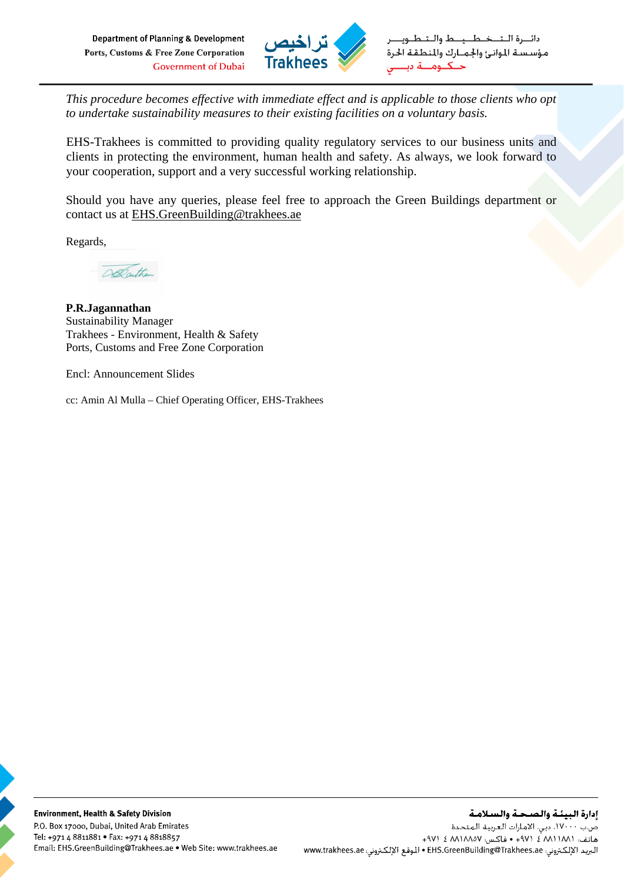Department of Planning & Development Ports, Customs & Free Zone Corporation **Government of Dubai** 



خطيط وال دائب ة اللت مؤسسة الموانئ والجمارك والمنطقة الحرة  $\leq$   $\sim$ 

*This procedure becomes effective with immediate effect and is applicable to those clients who opt to undertake sustainability measures to their existing facilities on a voluntary basis.* 

EHS-Trakhees is committed to providing quality regulatory services to our business units and clients in protecting the environment, human health and safety. As always, we look forward to your cooperation, support and a very successful working relationship.

Should you have any queries, please feel free to approach the Green Buildings department or contact us at EHS.GreenBuilding@trakhees.ae

Regards,

ADathan

**P.R.Jagannathan**  Sustainability Manager Trakhees - Environment, Health & Safety Ports, Customs and Free Zone Corporation

Encl: Announcement Slides

cc: Amin Al Mulla – Chief Operating Officer, EHS-Trakhees

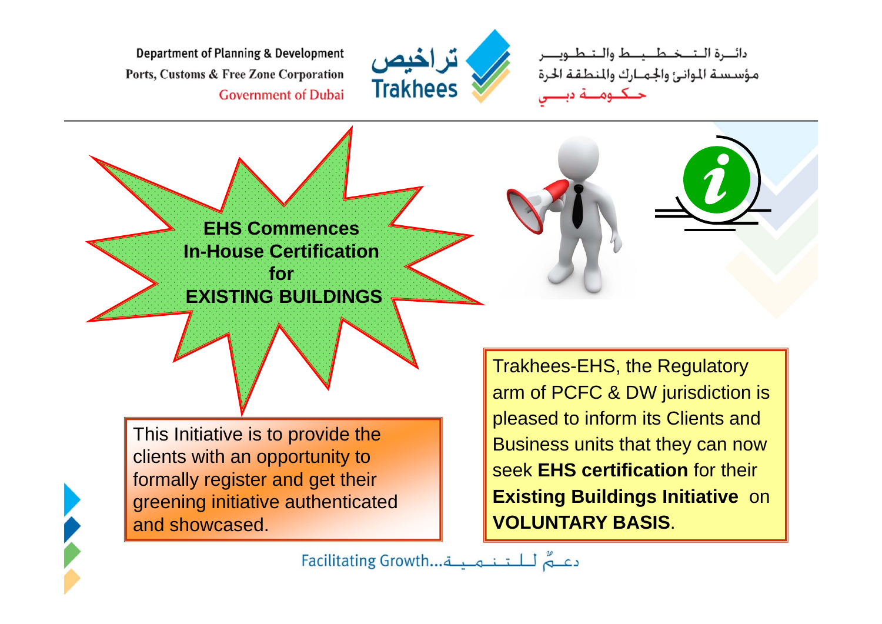Department of Planning & Development Ports, Customs & Free Zone Corporation **Government of Dubai** 



دائــرة الــتـــخــطـــيــط والــتـطــ مؤسسة الموانئ والجمارك والمطقة الحرة



formally register and get their greening initiative authenticated and showcased.

**Existing Buildings Initiative** on **VOLUNTARY BASIS**.